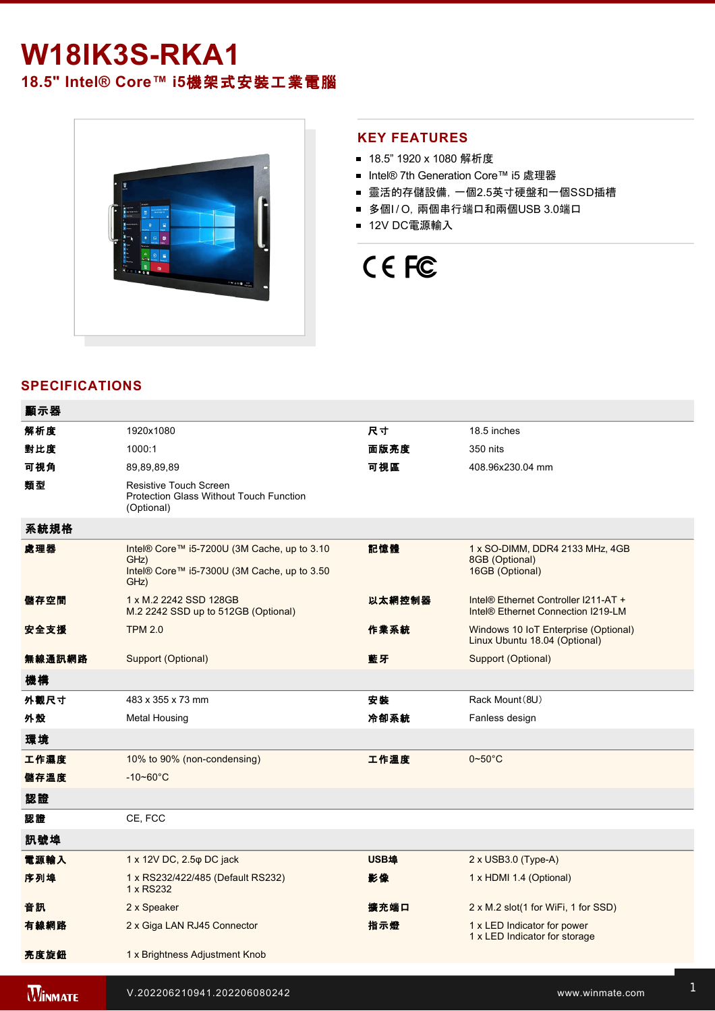## **W18IK3S-RKA1**

**18.5" Intel® Core™ i5**機架式安裝工業電腦



#### **KEY FEATURES**

- 18.5" 1920 x 1080 解析度
- Intel® 7th Generation Core™ i5 處理器
- 靈活的存儲設備, 一個2.5英寸硬盤和一個SSD插槽
- 多個I/O, 兩個串行端口和兩個USB 3.0端口
- 12V DC電源輸入

# CE FC

#### **SPECIFICATIONS**

| 顯示器    |                                                                                                            |        |                                                                                        |
|--------|------------------------------------------------------------------------------------------------------------|--------|----------------------------------------------------------------------------------------|
| 解析度    | 1920x1080                                                                                                  | 尺寸     | 18.5 inches                                                                            |
| 對比度    | 1000:1                                                                                                     | 面版亮度   | 350 nits                                                                               |
| 可視角    | 89,89,89,89                                                                                                | 可視區    | 408.96x230.04 mm                                                                       |
| 類型     | Resistive Touch Screen<br><b>Protection Glass Without Touch Function</b><br>(Optional)                     |        |                                                                                        |
| 系統規格   |                                                                                                            |        |                                                                                        |
| 處理器    | Intel® Core™ i5-7200U (3M Cache, up to 3.10<br>GHz)<br>Intel® Core™ i5-7300U (3M Cache, up to 3.50<br>GHz) | 記憶體    | 1 x SO-DIMM, DDR4 2133 MHz, 4GB<br>8GB (Optional)<br>16GB (Optional)                   |
| 儲存空間   | 1 x M.2 2242 SSD 128GB<br>M.2 2242 SSD up to 512GB (Optional)                                              | 以太網控制器 | Intel® Ethernet Controller I211-AT +<br>Intel <sup>®</sup> Ethernet Connection I219-LM |
| 安全支援   | <b>TPM 2.0</b>                                                                                             | 作業系統   | Windows 10 IoT Enterprise (Optional)<br>Linux Ubuntu 18.04 (Optional)                  |
| 無線通訊網路 | Support (Optional)                                                                                         | 藍牙     | Support (Optional)                                                                     |
| 機構     |                                                                                                            |        |                                                                                        |
| 外觀尺寸   | 483 x 355 x 73 mm                                                                                          | 安装     | Rack Mount (8U)                                                                        |
| 外殼     | Metal Housing                                                                                              | 冷卻系統   | Fanless design                                                                         |
| 環境     |                                                                                                            |        |                                                                                        |
| 工作濕度   | 10% to 90% (non-condensing)                                                                                | 工作溫度   | $0\negthinspace\negthinspace\negthinspace 50^{\circ}\mathrm{C}$                        |
| 儲存溫度   | $-10 - 60^{\circ}$ C                                                                                       |        |                                                                                        |
| 認證     |                                                                                                            |        |                                                                                        |
| 認證     | CE, FCC                                                                                                    |        |                                                                                        |
| 訊號埠    |                                                                                                            |        |                                                                                        |
| 電源輸入   | 1 x 12V DC, 2.5 $\varphi$ DC jack                                                                          | USB埠   | 2 x USB3.0 (Type-A)                                                                    |
| 序列埠    | 1 x RS232/422/485 (Default RS232)<br>1 x RS232                                                             | 影像     | 1 x HDMI 1.4 (Optional)                                                                |
| 音訊     | 2 x Speaker                                                                                                | 擴充端口   | 2 x M.2 slot(1 for WiFi, 1 for SSD)                                                    |
| 有線網路   | 2 x Giga LAN RJ45 Connector                                                                                | 指示燈    | 1 x LED Indicator for power<br>1 x LED Indicator for storage                           |
| 亮度旋鈕   | 1 x Brightness Adjustment Knob                                                                             |        |                                                                                        |
|        |                                                                                                            |        |                                                                                        |

1 x Reset Button Burguera